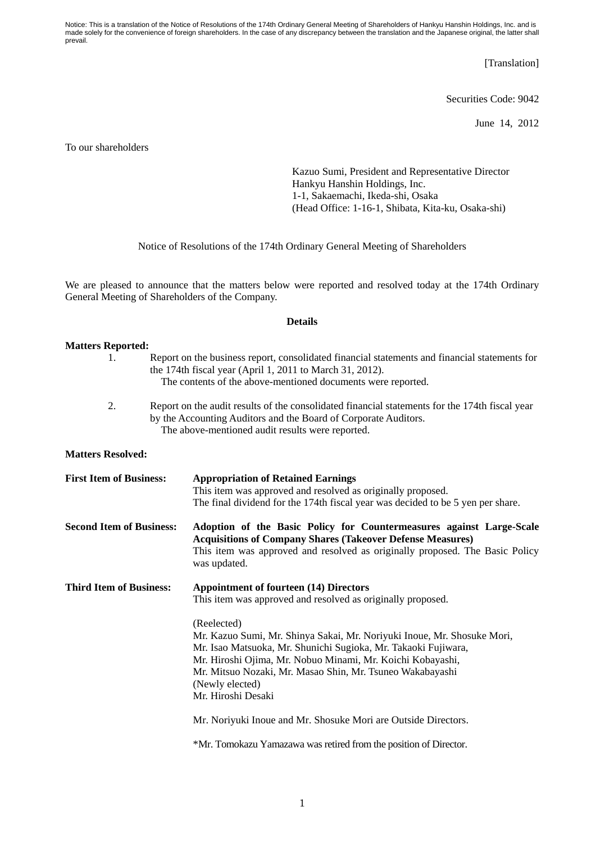Notice: This is a translation of the Notice of Resolutions of the 174th Ordinary General Meeting of Shareholders of Hankyu Hanshin Holdings, Inc. and is made solely for the convenience of foreign shareholders. In the case of any discrepancy between the translation and the Japanese original, the latter shall prevail.

[Translation]

Securities Code: 9042

June 14, 2012

To our shareholders

Kazuo Sumi, President and Representative Director Hankyu Hanshin Holdings, Inc. 1-1, Sakaemachi, Ikeda-shi, Osaka (Head Office: 1-16-1, Shibata, Kita-ku, Osaka-shi)

Notice of Resolutions of the 174th Ordinary General Meeting of Shareholders

We are pleased to announce that the matters below were reported and resolved today at the 174th Ordinary General Meeting of Shareholders of the Company.

## **Details**

## **Matters Reported:**  1. Report on the business report, consolidated financial statements and financial statements for the 174th fiscal year (April 1, 2011 to March 31, 2012). The contents of the above-mentioned documents were reported. 2. Report on the audit results of the consolidated financial statements for the 174th fiscal year by the Accounting Auditors and the Board of Corporate Auditors. The above-mentioned audit results were reported. **Matters Resolved: First Item of Business: Appropriation of Retained Earnings**  This item was approved and resolved as originally proposed. The final dividend for the 174th fiscal year was decided to be 5 yen per share. **Second Item of Business: Adoption of the Basic Policy for Countermeasures against Large-Scale Acquisitions of Company Shares (Takeover Defense Measures)**  This item was approved and resolved as originally proposed. The Basic Policy was updated. **Third Item of Business: Appointment of fourteen (14) Directors**  This item was approved and resolved as originally proposed. (Reelected) Mr. Kazuo Sumi, Mr. Shinya Sakai, Mr. Noriyuki Inoue, Mr. Shosuke Mori, Mr. Isao Matsuoka, Mr. Shunichi Sugioka, Mr. Takaoki Fujiwara, Mr. Hiroshi Ojima, Mr. Nobuo Minami, Mr. Koichi Kobayashi, Mr. Mitsuo Nozaki, Mr. Masao Shin, Mr. Tsuneo Wakabayashi (Newly elected) Mr. Hiroshi Desaki Mr. Noriyuki Inoue and Mr. Shosuke Mori are Outside Directors. \*Mr. Tomokazu Yamazawa was retired from the position of Director.